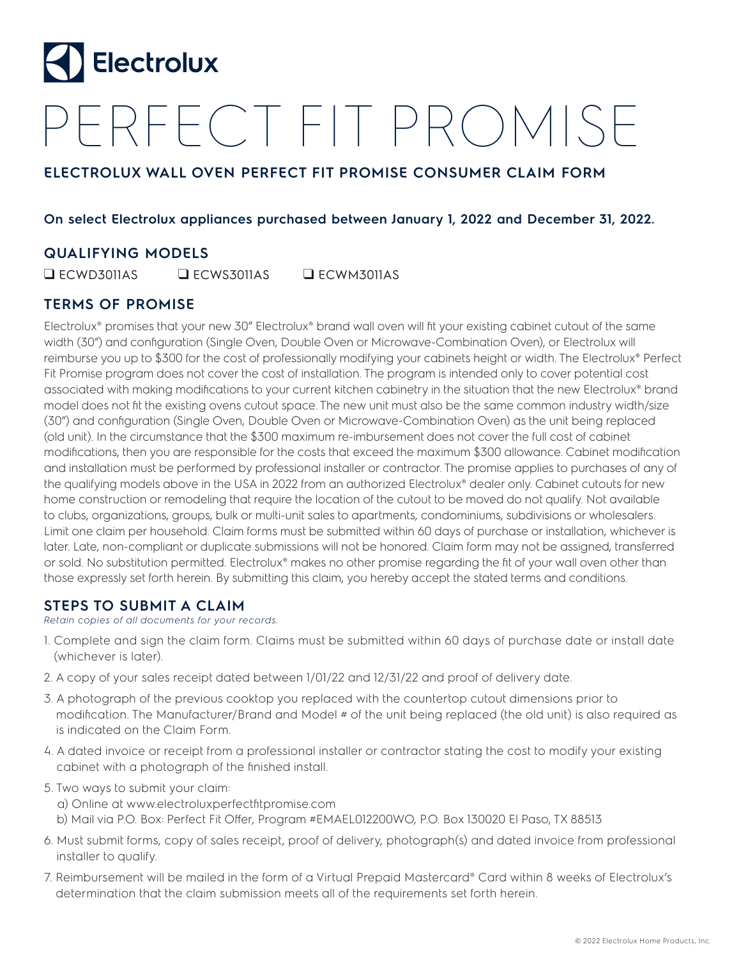

# PERFECT FIT PROMISE

## **ELECTROLUX WALL OVEN PERFECT FIT PROMISE CONSUMER CLAIM FORM**

#### **On select Electrolux appliances purchased between January 1, 2022 and December 31, 2022.**

### **QUALIFYING MODELS**

❑ ECWD3011AS ❑ ECWS3011AS ❑ ECWM3011AS

### **TERMS OF PROMISE**

Electrolux® promises that your new 30" Electrolux® brand wall oven will fit your existing cabinet cutout of the same width (30") and configuration (Single Oven, Double Oven or Microwave-Combination Oven), or Electrolux will reimburse you up to \$300 for the cost of professionally modifying your cabinets height or width. The Electrolux® Perfect Fit Promise program does not cover the cost of installation. The program is intended only to cover potential cost associated with making modifications to your current kitchen cabinetry in the situation that the new Electrolux® brand model does not fit the existing ovens cutout space. The new unit must also be the same common industry width/size (30") and configuration (Single Oven, Double Oven or Microwave-Combination Oven) as the unit being replaced (old unit). In the circumstance that the \$300 maximum re-imbursement does not cover the full cost of cabinet modifications, then you are responsible for the costs that exceed the maximum \$300 allowance. Cabinet modification and installation must be performed by professional installer or contractor. The promise applies to purchases of any of the qualifying models above in the USA in 2022 from an authorized Electrolux® dealer only. Cabinet cutouts for new home construction or remodeling that require the location of the cutout to be moved do not qualify. Not available to clubs, organizations, groups, bulk or multi-unit sales to apartments, condominiums, subdivisions or wholesalers. Limit one claim per household. Claim forms must be submitted within 60 days of purchase or installation, whichever is later. Late, non-compliant or duplicate submissions will not be honored. Claim form may not be assigned, transferred or sold. No substitution permitted. Electrolux® makes no other promise regarding the fit of your wall oven other than those expressly set forth herein. By submitting this claim, you hereby accept the stated terms and conditions.

### **STEPS TO SUBMIT A CLAIM**

*Retain copies of all documents for your records.*

- 1. Complete and sign the claim form. Claims must be submitted within 60 days of purchase date or install date (whichever is later).
- 2. A copy of your sales receipt dated between 1/01/22 and 12/31/22 and proof of delivery date.
- 3. A photograph of the previous cooktop you replaced with the countertop cutout dimensions prior to modification. The Manufacturer/Brand and Model # of the unit being replaced (the old unit) is also required as is indicated on the Claim Form.
- 4. A dated invoice or receipt from a professional installer or contractor stating the cost to modify your existing cabinet with a photograph of the finished install.
- 5. Two ways to submit your claim:
	- a) Online at www.electroluxperfectfitpromise.com
	- b) Mail via P.O. Box: Perfect Fit Offer, Program #EMAEL012200WO, P.O. Box 130020 El Paso, TX 88513
- 6. Must submit forms, copy of sales receipt, proof of delivery, photograph(s) and dated invoice from professional installer to qualify.
- 7. Reimbursement will be mailed in the form of a Virtual Prepaid Mastercard® Card within 8 weeks of Electrolux's determination that the claim submission meets all of the requirements set forth herein.